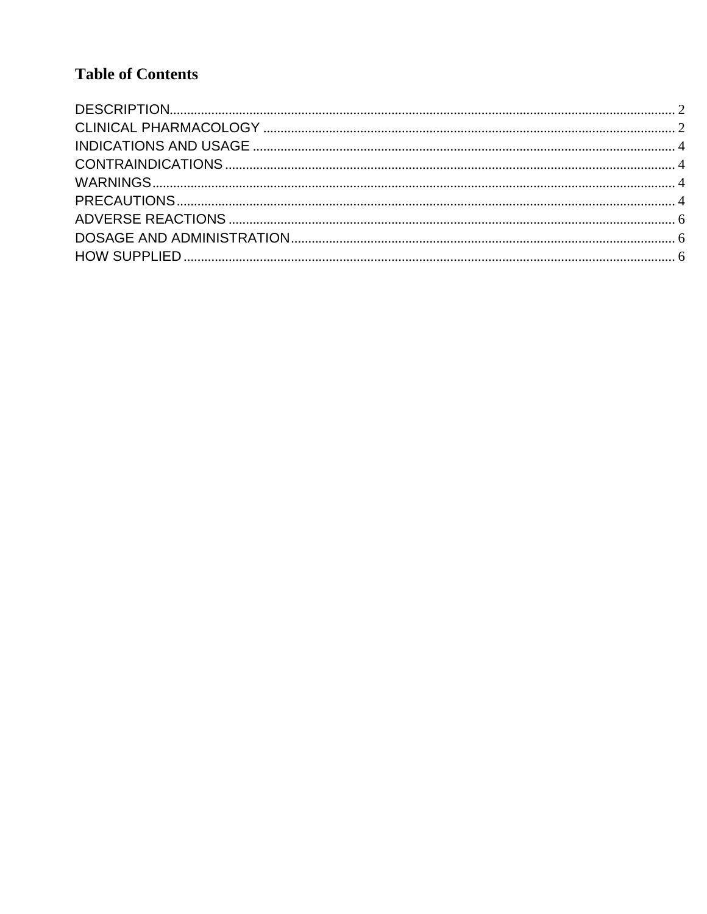# **Table of Contents**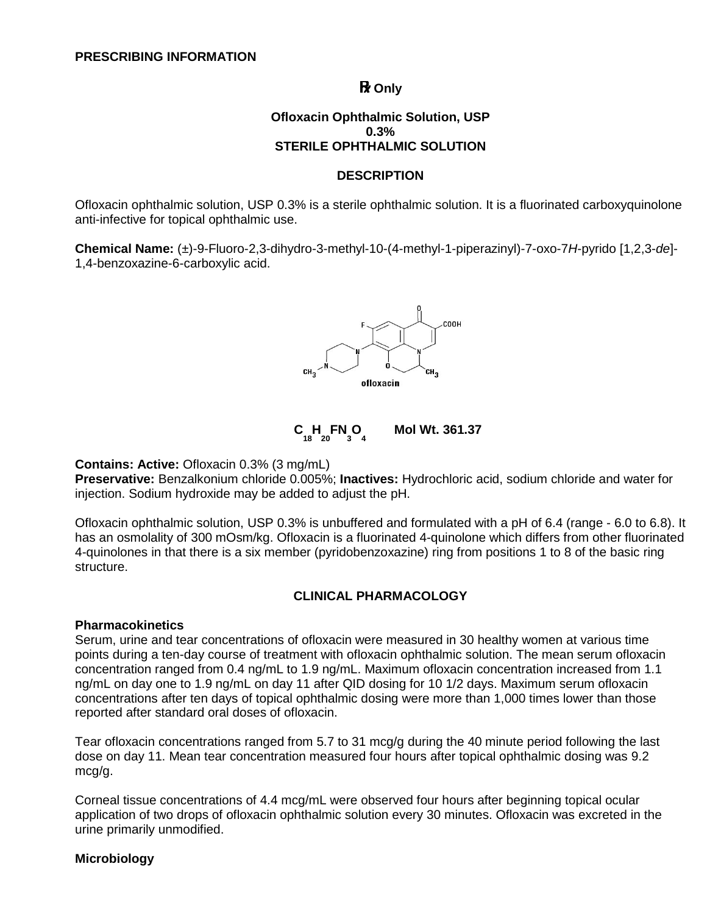**R** Only

#### **Ofloxacin Ophthalmic Solution, USP 0.3% STERILE OPHTHALMIC SOLUTION**

#### **DESCRIPTION**

<span id="page-1-0"></span>Ofloxacin ophthalmic solution, USP 0.3% is a sterile ophthalmic solution. It is a fluorinated carboxyquinolone anti-infective for topical ophthalmic use.

**Chemical Name:** (±)-9-Fluoro-2,3-dihydro-3-methyl-10-(4-methyl-1-piperazinyl)-7-oxo-7*H*-pyrido [1,2,3-*de*]- 1,4-benzoxazine-6-carboxylic acid.



**C C 18 H 20 FN 3 O 4 Mol Wt. 361.37** 

#### **Contains: Active:** Ofloxacin 0.3% (3 mg/mL)

**Preservative:** Benzalkonium chloride 0.005%; **Inactives:** Hydrochloric acid, sodium chloride and water for injection. Sodium hydroxide may be added to adjust the pH.

Ofloxacin ophthalmic solution, USP 0.3% is unbuffered and formulated with a pH of 6.4 (range - 6.0 to 6.8). It has an osmolality of 300 mOsm/kg. Ofloxacin is a fluorinated 4-quinolone which differs from other fluorinated 4-quinolones in that there is a six member (pyridobenzoxazine) ring from positions 1 to 8 of the basic ring structure.

#### **CLINICAL PHARMACOLOGY**

#### <span id="page-1-1"></span>**Pharmacokinetics**

Serum, urine and tear concentrations of ofloxacin were measured in 30 healthy women at various time points during a ten-day course of treatment with ofloxacin ophthalmic solution. The mean serum ofloxacin concentration ranged from 0.4 ng/mL to 1.9 ng/mL. Maximum ofloxacin concentration increased from 1.1 ng/mL on day one to 1.9 ng/mL on day 11 after QID dosing for 10 1/2 days. Maximum serum ofloxacin concentrations after ten days of topical ophthalmic dosing were more than 1,000 times lower than those reported after standard oral doses of ofloxacin.

Tear ofloxacin concentrations ranged from 5.7 to 31 mcg/g during the 40 minute period following the last dose on day 11. Mean tear concentration measured four hours after topical ophthalmic dosing was 9.2 mcg/g.

Corneal tissue concentrations of 4.4 mcg/mL were observed four hours after beginning topical ocular application of two drops of ofloxacin ophthalmic solution every 30 minutes. Ofloxacin was excreted in the urine primarily unmodified.

#### **Microbiology**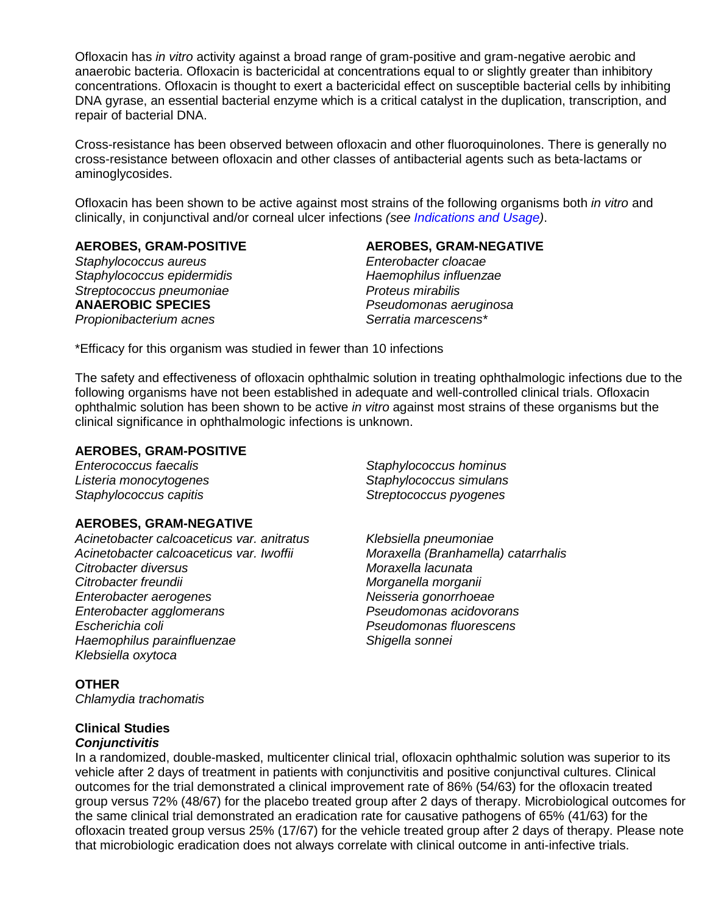Ofloxacin has *in vitro* activity against a broad range of gram-positive and gram-negative aerobic and anaerobic bacteria. Ofloxacin is bactericidal at concentrations equal to or slightly greater than inhibitory concentrations. Ofloxacin is thought to exert a bactericidal effect on susceptible bacterial cells by inhibiting DNA gyrase, an essential bacterial enzyme which is a critical catalyst in the duplication, transcription, and repair of bacterial DNA.

Cross-resistance has been observed between ofloxacin and other fluoroquinolones. There is generally no cross-resistance between ofloxacin and other classes of antibacterial agents such as beta-lactams or aminoglycosides.

Ofloxacin has been shown to be active against most strains of the following organisms both *in vitro* and clinically, in conjunctival and/or corneal ulcer infections *(see [Indications and Usage\)](#page-3-0)*.

**AEROBES, GRAM-POSITIVE AEROBES, GRAM-NEGATIVE**

*Staphylococcus aureus Staphylococcus epidermidis Haemophilus influenzae*  **Streptococcus pneumoniae and all proteus mirabilis and all proteus mirabilis and all proteus mirabilis and all proteus mirabilis and all proteus mirabilis and all proteus mirabilis and all proteus mirabilis and all proteu** *Propionibacterium acnes* 

**ANAEROBIC SPECIES** *Pseudomonas aeruginosa* 

\*Efficacy for this organism was studied in fewer than 10 infections

The safety and effectiveness of ofloxacin ophthalmic solution in treating ophthalmologic infections due to the following organisms have not been established in adequate and well-controlled clinical trials. Ofloxacin ophthalmic solution has been shown to be active *in vitro* against most strains of these organisms but the clinical significance in ophthalmologic infections is unknown.

#### **AEROBES, GRAM-POSITIVE**

#### **AEROBES, GRAM-NEGATIVE**

*Acinetobacter calcoaceticus var. anitratus Klebsiella pneumoniae Citrobacter diversus Moraxella lacunata Citrobacter freundii Morganella morganii Enterobacter aerogenes Neisseria gonorrhoeae Enterobacter agglomerans Pseudomonas acidovorans Haemophilus parainfluenzae Shigella sonnei Klebsiella oxytoca* 

*Enterococcus faecalis Staphylococcus hominus Listeria monocytogenes Staphylococcus simulans Staphylococcus capitis Streptococcus pyogenes* 

> *Acinetobacter calcoaceticus var. Iwoffii Moraxella (Branhamella) catarrhalis Escherichia coli Pseudomonas fluorescens*

#### **OTHER**

*Chlamydia trachomatis* 

## **Clinical Studies**

#### *Conjunctivitis*

In a randomized, double-masked, multicenter clinical trial, ofloxacin ophthalmic solution was superior to its vehicle after 2 days of treatment in patients with conjunctivitis and positive conjunctival cultures. Clinical outcomes for the trial demonstrated a clinical improvement rate of 86% (54/63) for the ofloxacin treated group versus 72% (48/67) for the placebo treated group after 2 days of therapy. Microbiological outcomes for the same clinical trial demonstrated an eradication rate for causative pathogens of 65% (41/63) for the ofloxacin treated group versus 25% (17/67) for the vehicle treated group after 2 days of therapy. Please note that microbiologic eradication does not always correlate with clinical outcome in anti-infective trials.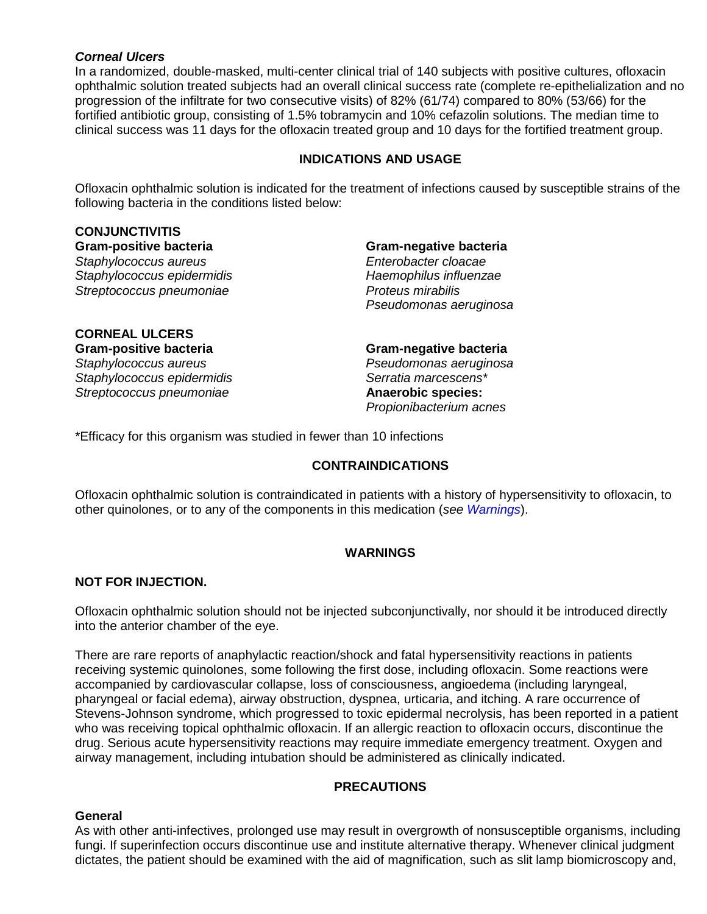#### *Corneal Ulcers*

In a randomized, double-masked, multi-center clinical trial of 140 subjects with positive cultures, ofloxacin ophthalmic solution treated subjects had an overall clinical success rate (complete re-epithelialization and no progression of the infiltrate for two consecutive visits) of 82% (61/74) compared to 80% (53/66) for the fortified antibiotic group, consisting of 1.5% tobramycin and 10% cefazolin solutions. The median time to clinical success was 11 days for the ofloxacin treated group and 10 days for the fortified treatment group.

#### **INDICATIONS AND USAGE**

<span id="page-3-0"></span>Ofloxacin ophthalmic solution is indicated for the treatment of infections caused by susceptible strains of the following bacteria in the conditions listed below:

# **CONJUNCTIVITIS**

*Staphylococcus aureus Staphylococcus epidermidis Haemophilus influenzae Streptococcus pneumoniae Proteus mirabilis* 

# **Gram-positive bacteria Gram-negative bacteria**

*Pseudomonas aeruginosa*

## **CORNEAL ULCERS**  *Staphylococcus aureus Pseudomonas aeruginosa Staphylococcus epidermidis Serratia marcescens\**   $Streptococcus$  pneumoniae

**Gram-positive bacteria Gram-negative bacteria** 

*Propionibacterium acnes*

<span id="page-3-1"></span>\*Efficacy for this organism was studied in fewer than 10 infections

#### **CONTRAINDICATIONS**

Ofloxacin ophthalmic solution is contraindicated in patients with a history of hypersensitivity to ofloxacin, to other quinolones, or to any of the components in this medication (*see [Warnings](#page-3-2)*).

#### **WARNINGS**

#### <span id="page-3-2"></span>**NOT FOR INJECTION.**

Ofloxacin ophthalmic solution should not be injected subconjunctivally, nor should it be introduced directly into the anterior chamber of the eye.

There are rare reports of anaphylactic reaction/shock and fatal hypersensitivity reactions in patients receiving systemic quinolones, some following the first dose, including ofloxacin. Some reactions were accompanied by cardiovascular collapse, loss of consciousness, angioedema (including laryngeal, pharyngeal or facial edema), airway obstruction, dyspnea, urticaria, and itching. A rare occurrence of Stevens-Johnson syndrome, which progressed to toxic epidermal necrolysis, has been reported in a patient who was receiving topical ophthalmic ofloxacin. If an allergic reaction to ofloxacin occurs, discontinue the drug. Serious acute hypersensitivity reactions may require immediate emergency treatment. Oxygen and airway management, including intubation should be administered as clinically indicated.

### **PRECAUTIONS**

#### <span id="page-3-3"></span>**General**

As with other anti-infectives, prolonged use may result in overgrowth of nonsusceptible organisms, including fungi. If superinfection occurs discontinue use and institute alternative therapy. Whenever clinical judgment dictates, the patient should be examined with the aid of magnification, such as slit lamp biomicroscopy and,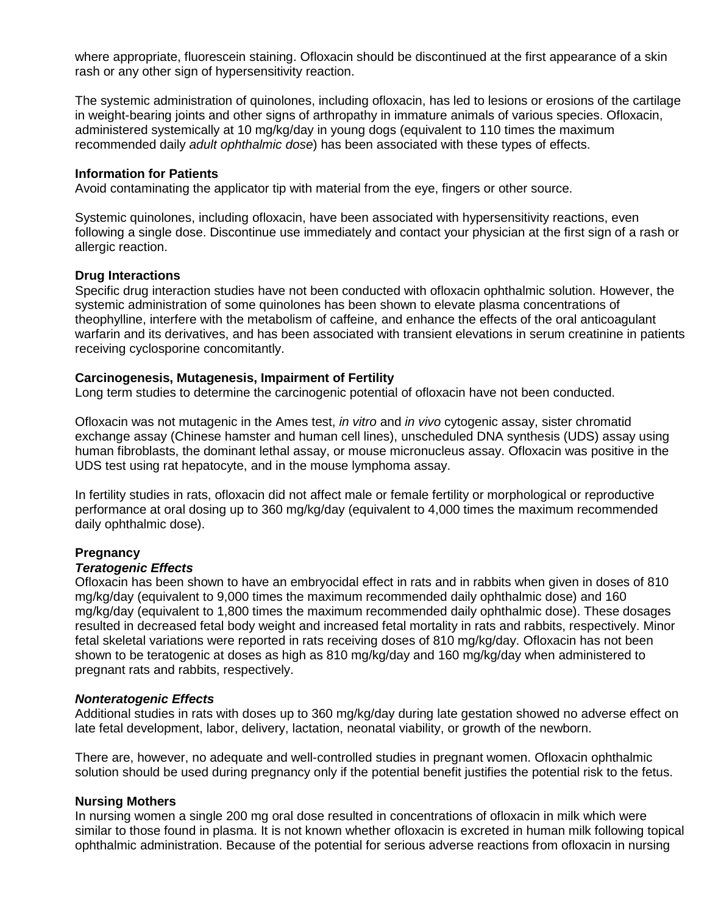where appropriate, fluorescein staining. Ofloxacin should be discontinued at the first appearance of a skin rash or any other sign of hypersensitivity reaction.

The systemic administration of quinolones, including ofloxacin, has led to lesions or erosions of the cartilage in weight-bearing joints and other signs of arthropathy in immature animals of various species. Ofloxacin, administered systemically at 10 mg/kg/day in young dogs (equivalent to 110 times the maximum recommended daily *adult ophthalmic dose*) has been associated with these types of effects.

#### **Information for Patients**

Avoid contaminating the applicator tip with material from the eye, fingers or other source.

Systemic quinolones, including ofloxacin, have been associated with hypersensitivity reactions, even following a single dose. Discontinue use immediately and contact your physician at the first sign of a rash or allergic reaction.

#### **Drug Interactions**

Specific drug interaction studies have not been conducted with ofloxacin ophthalmic solution. However, the systemic administration of some quinolones has been shown to elevate plasma concentrations of theophylline, interfere with the metabolism of caffeine, and enhance the effects of the oral anticoagulant warfarin and its derivatives, and has been associated with transient elevations in serum creatinine in patients receiving cyclosporine concomitantly.

#### **Carcinogenesis, Mutagenesis, Impairment of Fertility**

Long term studies to determine the carcinogenic potential of ofloxacin have not been conducted.

Ofloxacin was not mutagenic in the Ames test, *in vitro* and *in vivo* cytogenic assay, sister chromatid exchange assay (Chinese hamster and human cell lines), unscheduled DNA synthesis (UDS) assay using human fibroblasts, the dominant lethal assay, or mouse micronucleus assay. Ofloxacin was positive in the UDS test using rat hepatocyte, and in the mouse lymphoma assay.

In fertility studies in rats, ofloxacin did not affect male or female fertility or morphological or reproductive performance at oral dosing up to 360 mg/kg/day (equivalent to 4,000 times the maximum recommended daily ophthalmic dose).

#### **Pregnancy**

#### *Teratogenic Effects*

Ofloxacin has been shown to have an embryocidal effect in rats and in rabbits when given in doses of 810 mg/kg/day (equivalent to 9,000 times the maximum recommended daily ophthalmic dose) and 160 mg/kg/day (equivalent to 1,800 times the maximum recommended daily ophthalmic dose). These dosages resulted in decreased fetal body weight and increased fetal mortality in rats and rabbits, respectively. Minor fetal skeletal variations were reported in rats receiving doses of 810 mg/kg/day. Ofloxacin has not been shown to be teratogenic at doses as high as 810 mg/kg/day and 160 mg/kg/day when administered to pregnant rats and rabbits, respectively.

#### *Nonteratogenic Effects*

Additional studies in rats with doses up to 360 mg/kg/day during late gestation showed no adverse effect on late fetal development, labor, delivery, lactation, neonatal viability, or growth of the newborn.

There are, however, no adequate and well-controlled studies in pregnant women. Ofloxacin ophthalmic solution should be used during pregnancy only if the potential benefit justifies the potential risk to the fetus.

#### **Nursing Mothers**

In nursing women a single 200 mg oral dose resulted in concentrations of ofloxacin in milk which were similar to those found in plasma. It is not known whether ofloxacin is excreted in human milk following topical ophthalmic administration. Because of the potential for serious adverse reactions from ofloxacin in nursing